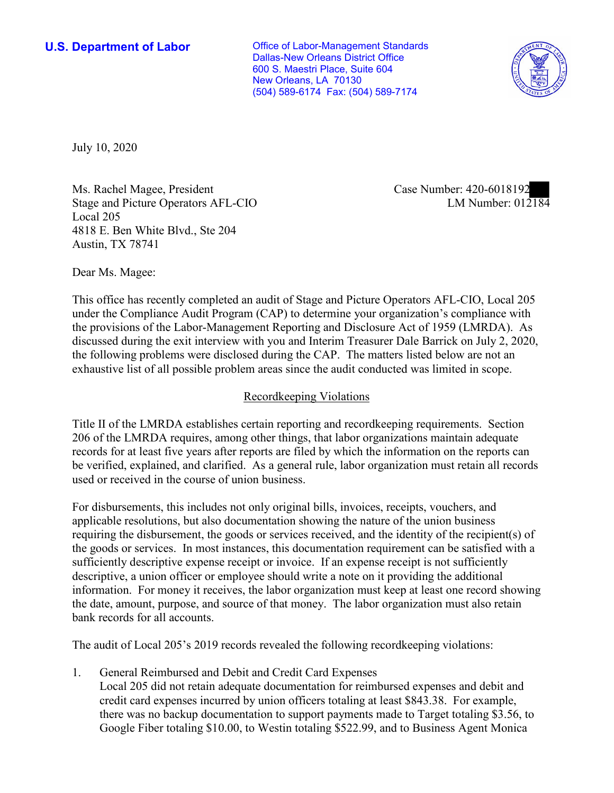New Orleans, LA 70130 **U.S. Department of Labor Conservative Conservative Conservative Conservative Conservative Conservative Conservative Conservative Conservative Conservative Conservative Conservative Conservative Conservative Conservative** Dallas-New Orleans District Office 600 S. Maestri Place, Suite 604 (504) 589-6174 Fax: (504) 589-7174



July 10, 2020

Ms. Rachel Magee, President Case Number: 420-6018192 Stage and Picture Operators AFL-CIO Local 205 4818 E. Ben White Blvd., Ste 204 Austin, TX 78741

LM Number:  $012184$ 

Dear Ms. Magee:

 This office has recently completed an audit of Stage and Picture Operators AFL-CIO, Local 205 discussed during the exit interview with you and Interim Treasurer Dale Barrick on July 2, 2020, under the Compliance Audit Program (CAP) to determine your organization's compliance with the provisions of the Labor-Management Reporting and Disclosure Act of 1959 (LMRDA). As the following problems were disclosed during the CAP. The matters listed below are not an exhaustive list of all possible problem areas since the audit conducted was limited in scope.

## Recordkeeping Violations

 Title II of the LMRDA establishes certain reporting and recordkeeping requirements. Section 206 of the LMRDA requires, among other things, that labor organizations maintain adequate be verified, explained, and clarified. As a general rule, labor organization must retain all records records for at least five years after reports are filed by which the information on the reports can used or received in the course of union business.

 sufficiently descriptive expense receipt or invoice. If an expense receipt is not sufficiently For disbursements, this includes not only original bills, invoices, receipts, vouchers, and applicable resolutions, but also documentation showing the nature of the union business requiring the disbursement, the goods or services received, and the identity of the recipient(s) of the goods or services. In most instances, this documentation requirement can be satisfied with a descriptive, a union officer or employee should write a note on it providing the additional information. For money it receives, the labor organization must keep at least one record showing the date, amount, purpose, and source of that money. The labor organization must also retain bank records for all accounts.

The audit of Local 205's 2019 records revealed the following recordkeeping violations:

1. General Reimbursed and Debit and Credit Card Expenses

Local 205 did not retain adequate documentation for reimbursed expenses and debit and credit card expenses incurred by union officers totaling at least \$843.38. For example, there was no backup documentation to support payments made to Target totaling \$3.56, to Google Fiber totaling \$10.00, to Westin totaling \$522.99, and to Business Agent Monica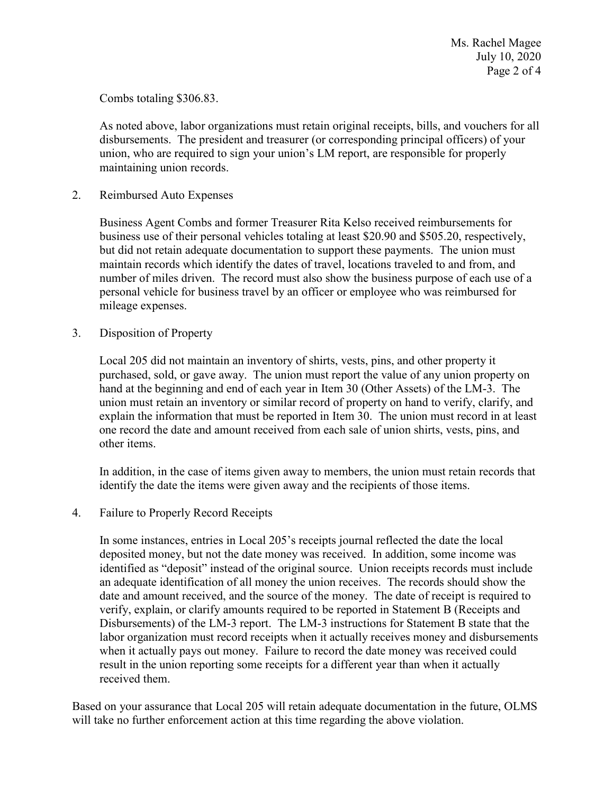Combs totaling \$306.83.

 disbursements. The president and treasurer (or corresponding principal officers) of your As noted above, labor organizations must retain original receipts, bills, and vouchers for all union, who are required to sign your union's LM report, are responsible for properly maintaining union records.

2. Reimbursed Auto Expenses

 but did not retain adequate documentation to support these payments. The union must Business Agent Combs and former Treasurer Rita Kelso received reimbursements for business use of their personal vehicles totaling at least \$20.90 and \$505.20, respectively, maintain records which identify the dates of travel, locations traveled to and from, and number of miles driven. The record must also show the business purpose of each use of a personal vehicle for business travel by an officer or employee who was reimbursed for mileage expenses.

3. Disposition of Property

 purchased, sold, or gave away. The union must report the value of any union property on hand at the beginning and end of each year in Item 30 (Other Assets) of the LM-3. The Local 205 did not maintain an inventory of shirts, vests, pins, and other property it union must retain an inventory or similar record of property on hand to verify, clarify, and explain the information that must be reported in Item 30. The union must record in at least one record the date and amount received from each sale of union shirts, vests, pins, and other items.

 identify the date the items were given away and the recipients of those items. In addition, in the case of items given away to members, the union must retain records that

4. Failure to Properly Record Receipts

 In some instances, entries in Local 205's receipts journal reflected the date the local received them. deposited money, but not the date money was received. In addition, some income was identified as "deposit" instead of the original source. Union receipts records must include an adequate identification of all money the union receives. The records should show the date and amount received, and the source of the money. The date of receipt is required to verify, explain, or clarify amounts required to be reported in Statement B (Receipts and Disbursements) of the LM-3 report. The LM-3 instructions for Statement B state that the labor organization must record receipts when it actually receives money and disbursements when it actually pays out money. Failure to record the date money was received could result in the union reporting some receipts for a different year than when it actually

Based on your assurance that Local 205 will retain adequate documentation in the future, OLMS will take no further enforcement action at this time regarding the above violation.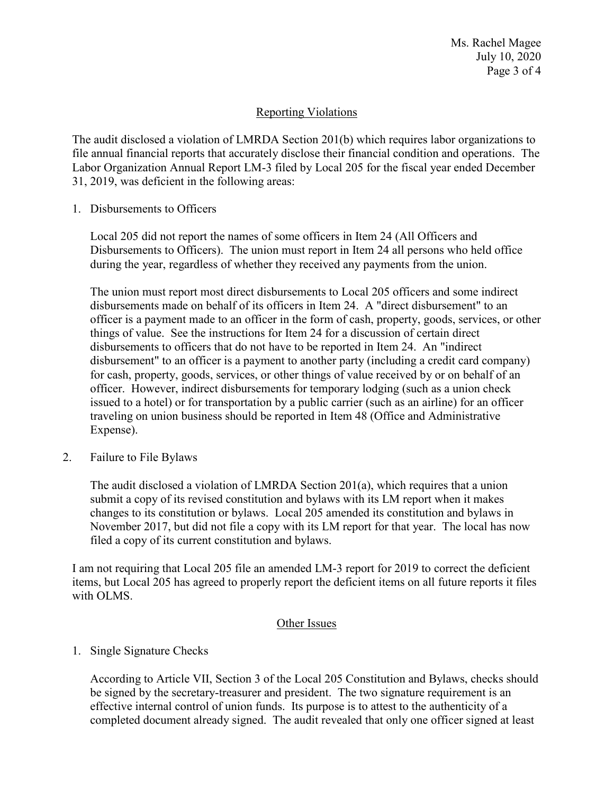Ms. Rachel Magee July 10, 2020 Page 3 of 4

## Reporting Violations

The audit disclosed a violation of LMRDA Section 201(b) which requires labor organizations to file annual financial reports that accurately disclose their financial condition and operations. The Labor Organization Annual Report LM-3 filed by Local 205 for the fiscal year ended December 31, 2019, was deficient in the following areas:

1. Disbursements to Officers

Local 205 did not report the names of some officers in Item 24 (All Officers and Disbursements to Officers). The union must report in Item 24 all persons who held office during the year, regardless of whether they received any payments from the union.

 issued to a hotel) or for transportation by a public carrier (such as an airline) for an officer The union must report most direct disbursements to Local 205 officers and some indirect disbursements made on behalf of its officers in Item 24. A "direct disbursement" to an officer is a payment made to an officer in the form of cash, property, goods, services, or other things of value. See the instructions for Item 24 for a discussion of certain direct disbursements to officers that do not have to be reported in Item 24. An "indirect disbursement" to an officer is a payment to another party (including a credit card company) for cash, property, goods, services, or other things of value received by or on behalf of an officer. However, indirect disbursements for temporary lodging (such as a union check traveling on union business should be reported in Item 48 (Office and Administrative Expense).

2. Failure to File Bylaws

 November 2017, but did not file a copy with its LM report for that year. The local has now filed a copy of its current constitution and bylaws. The audit disclosed a violation of LMRDA Section 201(a), which requires that a union submit a copy of its revised constitution and bylaws with its LM report when it makes changes to its constitution or bylaws. Local 205 amended its constitution and bylaws in

I am not requiring that Local 205 file an amended LM-3 report for 2019 to correct the deficient items, but Local 205 has agreed to properly report the deficient items on all future reports it files with OLMS.

## Other Issues

## 1. Single Signature Checks

 be signed by the secretary-treasurer and president. The two signature requirement is an According to Article VII, Section 3 of the Local 205 Constitution and Bylaws, checks should effective internal control of union funds. Its purpose is to attest to the authenticity of a completed document already signed. The audit revealed that only one officer signed at least